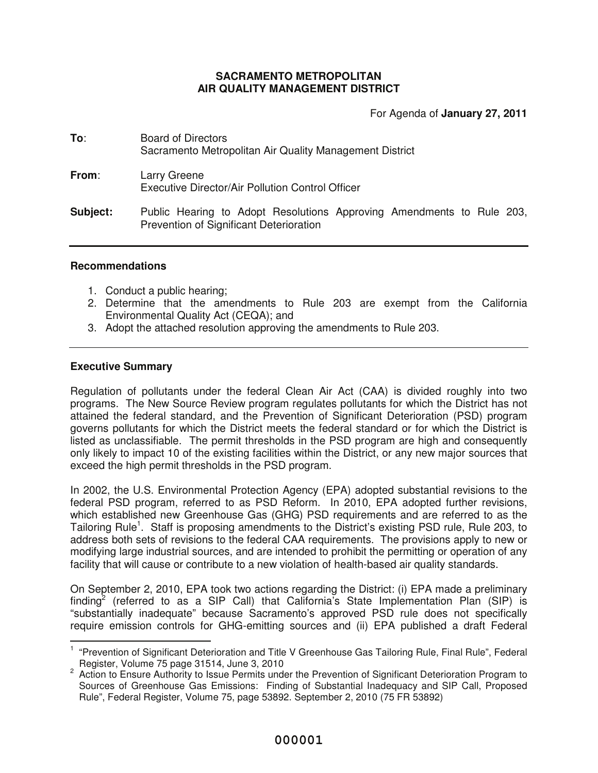## **SACRAMENTO METROPOLITAN AIR QUALITY MANAGEMENT DISTRICT**

For Agenda of **January 27, 2011**

| To:             | <b>Board of Directors</b><br>Sacramento Metropolitan Air Quality Management District                             |  |  |
|-----------------|------------------------------------------------------------------------------------------------------------------|--|--|
| From:           | Larry Greene<br>Executive Director/Air Pollution Control Officer                                                 |  |  |
| <b>Subject:</b> | Public Hearing to Adopt Resolutions Approving Amendments to Rule 203,<br>Prevention of Significant Deterioration |  |  |

## **Recommendations**

- 1. Conduct a public hearing;
- 2. Determine that the amendments to Rule 203 are exempt from the California Environmental Quality Act (CEQA); and
- 3. Adopt the attached resolution approving the amendments to Rule 203.

## **Executive Summary**

Regulation of pollutants under the federal Clean Air Act (CAA) is divided roughly into two programs. The New Source Review program regulates pollutants for which the District has not attained the federal standard, and the Prevention of Significant Deterioration (PSD) program governs pollutants for which the District meets the federal standard or for which the District is listed as unclassifiable. The permit thresholds in the PSD program are high and consequently only likely to impact 10 of the existing facilities within the District, or any new major sources that exceed the high permit thresholds in the PSD program.

In 2002, the U.S. Environmental Protection Agency (EPA) adopted substantial revisions to the federal PSD program, referred to as PSD Reform. In 2010, EPA adopted further revisions, which established new Greenhouse Gas (GHG) PSD requirements and are referred to as the Tailoring Rule<sup>1</sup>. Staff is proposing amendments to the District's existing PSD rule, Rule 203, to address both sets of revisions to the federal CAA requirements. The provisions apply to new or modifying large industrial sources, and are intended to prohibit the permitting or operation of any facility that will cause or contribute to a new violation of health-based air quality standards.

On September 2, 2010, EPA took two actions regarding the District: (i) EPA made a preliminary finding<sup>2</sup> (referred to as a SIP Call) that California's State Implementation Plan (SIP) is "substantially inadequate" because Sacramento's approved PSD rule does not specifically require emission controls for GHG-emitting sources and (ii) EPA published a draft Federal 

<sup>&</sup>lt;sup>1</sup> "Prevention of Significant Deterioration and Title V Greenhouse Gas Tailoring Rule, Final Rule", Federal Register, Volume 75 page 31514, June 3, 2010

<sup>&</sup>lt;sup>2</sup> Action to Ensure Authority to Issue Permits under the Prevention of Significant Deterioration Program to Sources of Greenhouse Gas Emissions: Finding of Substantial Inadequacy and SIP Call, Proposed Rule", Federal Register, Volume 75, page 53892. September 2, 2010 (75 FR 53892)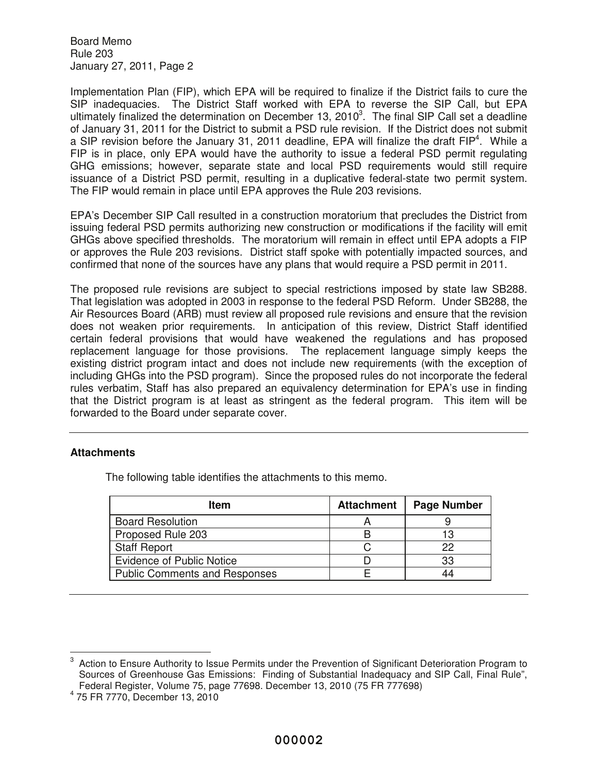Implementation Plan (FIP), which EPA will be required to finalize if the District fails to cure the SIP inadequacies. The District Staff worked with EPA to reverse the SIP Call, but EPA ultimately finalized the determination on December 13, 2010<sup>3</sup>. The final SIP Call set a deadline of January 31, 2011 for the District to submit a PSD rule revision. If the District does not submit a SIP revision before the January 31, 2011 deadline, EPA will finalize the draft FIP<sup>4</sup>. While a FIP is in place, only EPA would have the authority to issue a federal PSD permit regulating GHG emissions; however, separate state and local PSD requirements would still require issuance of a District PSD permit, resulting in a duplicative federal-state two permit system. The FIP would remain in place until EPA approves the Rule 203 revisions.

EPA's December SIP Call resulted in a construction moratorium that precludes the District from issuing federal PSD permits authorizing new construction or modifications if the facility will emit GHGs above specified thresholds. The moratorium will remain in effect until EPA adopts a FIP or approves the Rule 203 revisions. District staff spoke with potentially impacted sources, and confirmed that none of the sources have any plans that would require a PSD permit in 2011.

The proposed rule revisions are subject to special restrictions imposed by state law SB288. That legislation was adopted in 2003 in response to the federal PSD Reform. Under SB288, the Air Resources Board (ARB) must review all proposed rule revisions and ensure that the revision does not weaken prior requirements. In anticipation of this review, District Staff identified certain federal provisions that would have weakened the regulations and has proposed replacement language for those provisions. The replacement language simply keeps the existing district program intact and does not include new requirements (with the exception of including GHGs into the PSD program). Since the proposed rules do not incorporate the federal rules verbatim, Staff has also prepared an equivalency determination for EPA's use in finding that the District program is at least as stringent as the federal program. This item will be forwarded to the Board under separate cover.

## **Attachments**

The following table identifies the attachments to this memo.

| ltem                                 | <b>Attachment</b> | <b>Page Number</b> |
|--------------------------------------|-------------------|--------------------|
| <b>Board Resolution</b>              |                   |                    |
| Proposed Rule 203                    |                   | 13                 |
| <b>Staff Report</b>                  |                   | 22                 |
| <b>Evidence of Public Notice</b>     |                   | 33                 |
| <b>Public Comments and Responses</b> |                   | 44                 |

<sup>3</sup> Action to Ensure Authority to Issue Permits under the Prevention of Significant Deterioration Program to Sources of Greenhouse Gas Emissions: Finding of Substantial Inadequacy and SIP Call, Final Rule", Federal Register, Volume 75, page 77698. December 13, 2010 (75 FR 777698)

<sup>4</sup> 75 FR 7770, December 13, 2010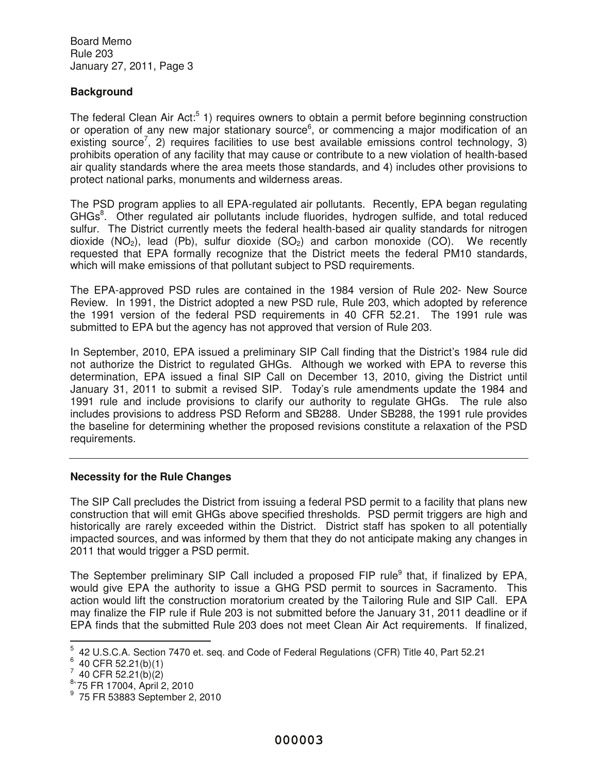# **Background**

The federal Clean Air Act:<sup>5</sup> 1) requires owners to obtain a permit before beginning construction or operation of any new major stationary source<sup>6</sup>, or commencing a major modification of an existing source<sup>7</sup>, 2) requires facilities to use best available emissions control technology, 3) prohibits operation of any facility that may cause or contribute to a new violation of health-based air quality standards where the area meets those standards, and 4) includes other provisions to protect national parks, monuments and wilderness areas.

The PSD program applies to all EPA-regulated air pollutants. Recently, EPA began regulating GHGs<sup>8</sup>. Other regulated air pollutants include fluorides, hydrogen sulfide, and total reduced sulfur. The District currently meets the federal health-based air quality standards for nitrogen dioxide  $(NO_2)$ , lead  $(Pb)$ , sulfur dioxide  $(SO_2)$  and carbon monoxide  $(CO)$ . We recently requested that EPA formally recognize that the District meets the federal PM10 standards, which will make emissions of that pollutant subject to PSD requirements.

The EPA-approved PSD rules are contained in the 1984 version of Rule 202- New Source Review. In 1991, the District adopted a new PSD rule, Rule 203, which adopted by reference the 1991 version of the federal PSD requirements in 40 CFR 52.21. The 1991 rule was submitted to EPA but the agency has not approved that version of Rule 203.

In September, 2010, EPA issued a preliminary SIP Call finding that the District's 1984 rule did not authorize the District to regulated GHGs. Although we worked with EPA to reverse this determination, EPA issued a final SIP Call on December 13, 2010, giving the District until January 31, 2011 to submit a revised SIP. Today's rule amendments update the 1984 and 1991 rule and include provisions to clarify our authority to regulate GHGs. The rule also includes provisions to address PSD Reform and SB288. Under SB288, the 1991 rule provides the baseline for determining whether the proposed revisions constitute a relaxation of the PSD requirements.

## **Necessity for the Rule Changes**

The SIP Call precludes the District from issuing a federal PSD permit to a facility that plans new construction that will emit GHGs above specified thresholds. PSD permit triggers are high and historically are rarely exceeded within the District. District staff has spoken to all potentially impacted sources, and was informed by them that they do not anticipate making any changes in 2011 that would trigger a PSD permit.

The September preliminary SIP Call included a proposed FIP rule<sup>9</sup> that, if finalized by EPA, would give EPA the authority to issue a GHG PSD permit to sources in Sacramento. This action would lift the construction moratorium created by the Tailoring Rule and SIP Call. EPA may finalize the FIP rule if Rule 203 is not submitted before the January 31, 2011 deadline or if EPA finds that the submitted Rule 203 does not meet Clean Air Act requirements. If finalized,

<sup>&</sup>lt;sup>5</sup> 42 U.S.C.A. Section 7470 et. seq. and Code of Federal Regulations (CFR) Title 40, Part 52.21

<sup>6</sup> 40 CFR 52.21(b)(1)

 $7^{7}$  40 CFR 52.21(b)(2)

<sup>8</sup> `75 FR 17004, April 2, 2010

<sup>9</sup> 75 FR 53883 September 2, 2010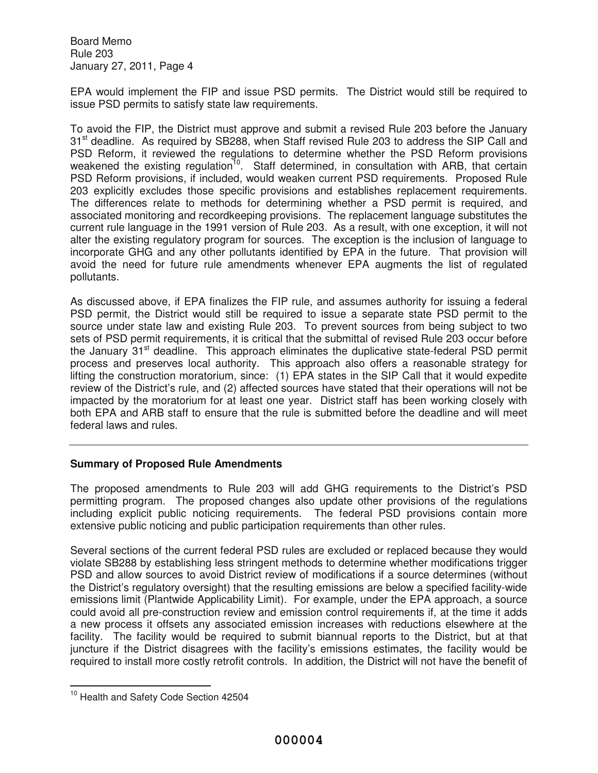EPA would implement the FIP and issue PSD permits. The District would still be required to issue PSD permits to satisfy state law requirements.

To avoid the FIP, the District must approve and submit a revised Rule 203 before the January 31<sup>st</sup> deadline. As required by SB288, when Staff revised Rule 203 to address the SIP Call and PSD Reform, it reviewed the regulations to determine whether the PSD Reform provisions weakened the existing regulation<sup>10</sup>. Staff determined, in consultation with ARB, that certain PSD Reform provisions, if included, would weaken current PSD requirements. Proposed Rule 203 explicitly excludes those specific provisions and establishes replacement requirements. The differences relate to methods for determining whether a PSD permit is required, and associated monitoring and recordkeeping provisions. The replacement language substitutes the current rule language in the 1991 version of Rule 203. As a result, with one exception, it will not alter the existing regulatory program for sources. The exception is the inclusion of language to incorporate GHG and any other pollutants identified by EPA in the future. That provision will avoid the need for future rule amendments whenever EPA augments the list of regulated pollutants.

As discussed above, if EPA finalizes the FIP rule, and assumes authority for issuing a federal PSD permit, the District would still be required to issue a separate state PSD permit to the source under state law and existing Rule 203. To prevent sources from being subject to two sets of PSD permit requirements, it is critical that the submittal of revised Rule 203 occur before the January  $31<sup>st</sup>$  deadline. This approach eliminates the duplicative state-federal PSD permit process and preserves local authority. This approach also offers a reasonable strategy for lifting the construction moratorium, since: (1) EPA states in the SIP Call that it would expedite review of the District's rule, and (2) affected sources have stated that their operations will not be impacted by the moratorium for at least one year. District staff has been working closely with both EPA and ARB staff to ensure that the rule is submitted before the deadline and will meet federal laws and rules.

# **Summary of Proposed Rule Amendments**

The proposed amendments to Rule 203 will add GHG requirements to the District's PSD permitting program. The proposed changes also update other provisions of the regulations including explicit public noticing requirements. The federal PSD provisions contain more extensive public noticing and public participation requirements than other rules.

Several sections of the current federal PSD rules are excluded or replaced because they would violate SB288 by establishing less stringent methods to determine whether modifications trigger PSD and allow sources to avoid District review of modifications if a source determines (without the District's regulatory oversight) that the resulting emissions are below a specified facility-wide emissions limit (Plantwide Applicability Limit). For example, under the EPA approach, a source could avoid all pre-construction review and emission control requirements if, at the time it adds a new process it offsets any associated emission increases with reductions elsewhere at the facility. The facility would be required to submit biannual reports to the District, but at that juncture if the District disagrees with the facility's emissions estimates, the facility would be required to install more costly retrofit controls. In addition, the District will not have the benefit of

<sup>&</sup>lt;sup>10</sup> Health and Safety Code Section 42504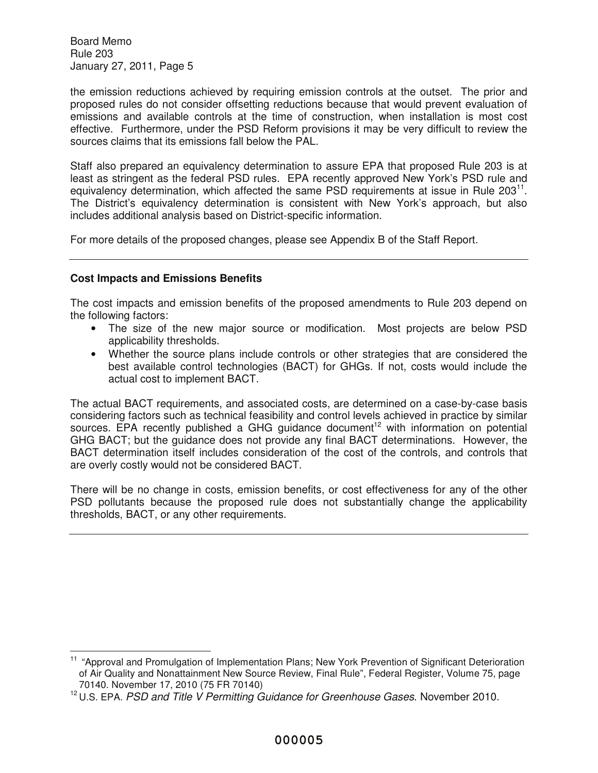the emission reductions achieved by requiring emission controls at the outset. The prior and proposed rules do not consider offsetting reductions because that would prevent evaluation of emissions and available controls at the time of construction, when installation is most cost effective. Furthermore, under the PSD Reform provisions it may be very difficult to review the sources claims that its emissions fall below the PAL.

Staff also prepared an equivalency determination to assure EPA that proposed Rule 203 is at least as stringent as the federal PSD rules. EPA recently approved New York's PSD rule and equivalency determination, which affected the same PSD requirements at issue in Rule 203 $^{11}$ . The District's equivalency determination is consistent with New York's approach, but also includes additional analysis based on District-specific information.

For more details of the proposed changes, please see Appendix B of the Staff Report.

## **Cost Impacts and Emissions Benefits**

The cost impacts and emission benefits of the proposed amendments to Rule 203 depend on the following factors:

- The size of the new major source or modification. Most projects are below PSD applicability thresholds.
- Whether the source plans include controls or other strategies that are considered the best available control technologies (BACT) for GHGs. If not, costs would include the actual cost to implement BACT.

The actual BACT requirements, and associated costs, are determined on a case-by-case basis considering factors such as technical feasibility and control levels achieved in practice by similar sources. EPA recently published a GHG guidance document<sup>12</sup> with information on potential GHG BACT; but the guidance does not provide any final BACT determinations. However, the BACT determination itself includes consideration of the cost of the controls, and controls that are overly costly would not be considered BACT.

There will be no change in costs, emission benefits, or cost effectiveness for any of the other PSD pollutants because the proposed rule does not substantially change the applicability thresholds, BACT, or any other requirements.

<sup>&</sup>lt;sup>11</sup> "Approval and Promulgation of Implementation Plans; New York Prevention of Significant Deterioration of Air Quality and Nonattainment New Source Review, Final Rule", Federal Register, Volume 75, page 70140. November 17, 2010 (75 FR 70140)

 $12$  U.S. EPA. PSD and Title V Permitting Guidance for Greenhouse Gases. November 2010.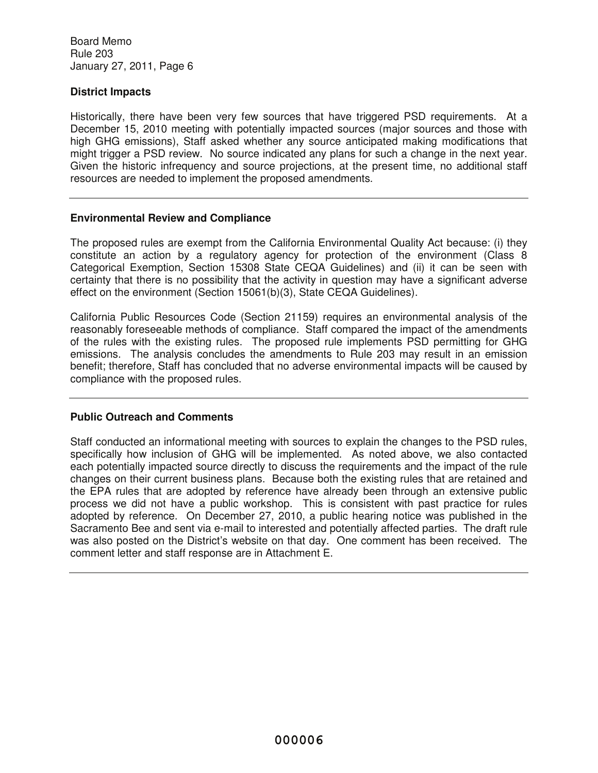# **District Impacts**

Historically, there have been very few sources that have triggered PSD requirements. At a December 15, 2010 meeting with potentially impacted sources (major sources and those with high GHG emissions), Staff asked whether any source anticipated making modifications that might trigger a PSD review. No source indicated any plans for such a change in the next year. Given the historic infrequency and source projections, at the present time, no additional staff resources are needed to implement the proposed amendments.

## **Environmental Review and Compliance**

The proposed rules are exempt from the California Environmental Quality Act because: (i) they constitute an action by a regulatory agency for protection of the environment (Class 8 Categorical Exemption, Section 15308 State CEQA Guidelines) and (ii) it can be seen with certainty that there is no possibility that the activity in question may have a significant adverse effect on the environment (Section 15061(b)(3), State CEQA Guidelines).

California Public Resources Code (Section 21159) requires an environmental analysis of the reasonably foreseeable methods of compliance. Staff compared the impact of the amendments of the rules with the existing rules. The proposed rule implements PSD permitting for GHG emissions. The analysis concludes the amendments to Rule 203 may result in an emission benefit; therefore, Staff has concluded that no adverse environmental impacts will be caused by compliance with the proposed rules.

# **Public Outreach and Comments**

Staff conducted an informational meeting with sources to explain the changes to the PSD rules, specifically how inclusion of GHG will be implemented. As noted above, we also contacted each potentially impacted source directly to discuss the requirements and the impact of the rule changes on their current business plans. Because both the existing rules that are retained and the EPA rules that are adopted by reference have already been through an extensive public process we did not have a public workshop. This is consistent with past practice for rules adopted by reference. On December 27, 2010, a public hearing notice was published in the Sacramento Bee and sent via e-mail to interested and potentially affected parties. The draft rule was also posted on the District's website on that day. One comment has been received. The comment letter and staff response are in Attachment E.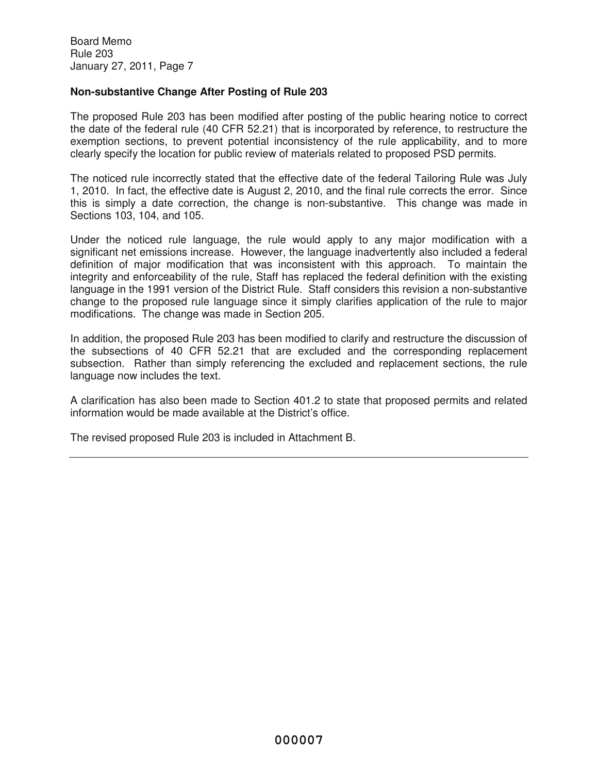# **Non-substantive Change After Posting of Rule 203**

The proposed Rule 203 has been modified after posting of the public hearing notice to correct the date of the federal rule (40 CFR 52.21) that is incorporated by reference, to restructure the exemption sections, to prevent potential inconsistency of the rule applicability, and to more clearly specify the location for public review of materials related to proposed PSD permits.

The noticed rule incorrectly stated that the effective date of the federal Tailoring Rule was July 1, 2010. In fact, the effective date is August 2, 2010, and the final rule corrects the error. Since this is simply a date correction, the change is non-substantive. This change was made in Sections 103, 104, and 105.

Under the noticed rule language, the rule would apply to any major modification with a significant net emissions increase. However, the language inadvertently also included a federal definition of major modification that was inconsistent with this approach. To maintain the integrity and enforceability of the rule, Staff has replaced the federal definition with the existing language in the 1991 version of the District Rule. Staff considers this revision a non-substantive change to the proposed rule language since it simply clarifies application of the rule to major modifications. The change was made in Section 205.

In addition, the proposed Rule 203 has been modified to clarify and restructure the discussion of the subsections of 40 CFR 52.21 that are excluded and the corresponding replacement subsection. Rather than simply referencing the excluded and replacement sections, the rule language now includes the text.

A clarification has also been made to Section 401.2 to state that proposed permits and related information would be made available at the District's office.

The revised proposed Rule 203 is included in Attachment B.